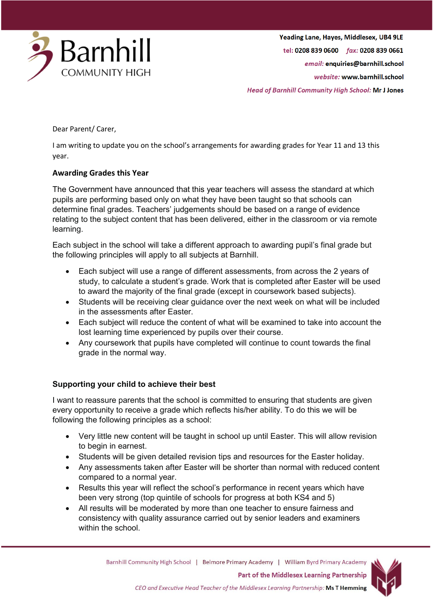

Yeading Lane, Hayes, Middlesex, UB4 9LE tel: 0208 839 0600 fax: 0208 839 0661 email: enquiries@barnhill.school website: www.barnhill.school **Head of Barnhill Community High School: Mr J Jones** 

Dear Parent/ Carer,

I am writing to update you on the school's arrangements for awarding grades for Year 11 and 13 this year.

## **Awarding Grades this Year**

The Government have announced that this year teachers will assess the standard at which pupils are performing based only on what they have been taught so that schools can determine final grades. Teachers' judgements should be based on a range of evidence relating to the subject content that has been delivered, either in the classroom or via remote learning.

Each subject in the school will take a different approach to awarding pupil's final grade but the following principles will apply to all subjects at Barnhill.

- Each subject will use a range of different assessments, from across the 2 years of study, to calculate a student's grade. Work that is completed after Easter will be used to award the majority of the final grade (except in coursework based subjects).
- Students will be receiving clear guidance over the next week on what will be included in the assessments after Easter.
- Each subject will reduce the content of what will be examined to take into account the lost learning time experienced by pupils over their course.
- Any coursework that pupils have completed will continue to count towards the final grade in the normal way.

## **Supporting your child to achieve their best**

I want to reassure parents that the school is committed to ensuring that students are given every opportunity to receive a grade which reflects his/her ability. To do this we will be following the following principles as a school:

- Very little new content will be taught in school up until Easter. This will allow revision to begin in earnest.
- Students will be given detailed revision tips and resources for the Easter holiday.
- Any assessments taken after Easter will be shorter than normal with reduced content compared to a normal year.
- Results this year will reflect the school's performance in recent years which have been very strong (top quintile of schools for progress at both KS4 and 5)
- All results will be moderated by more than one teacher to ensure fairness and consistency with quality assurance carried out by senior leaders and examiners within the school.